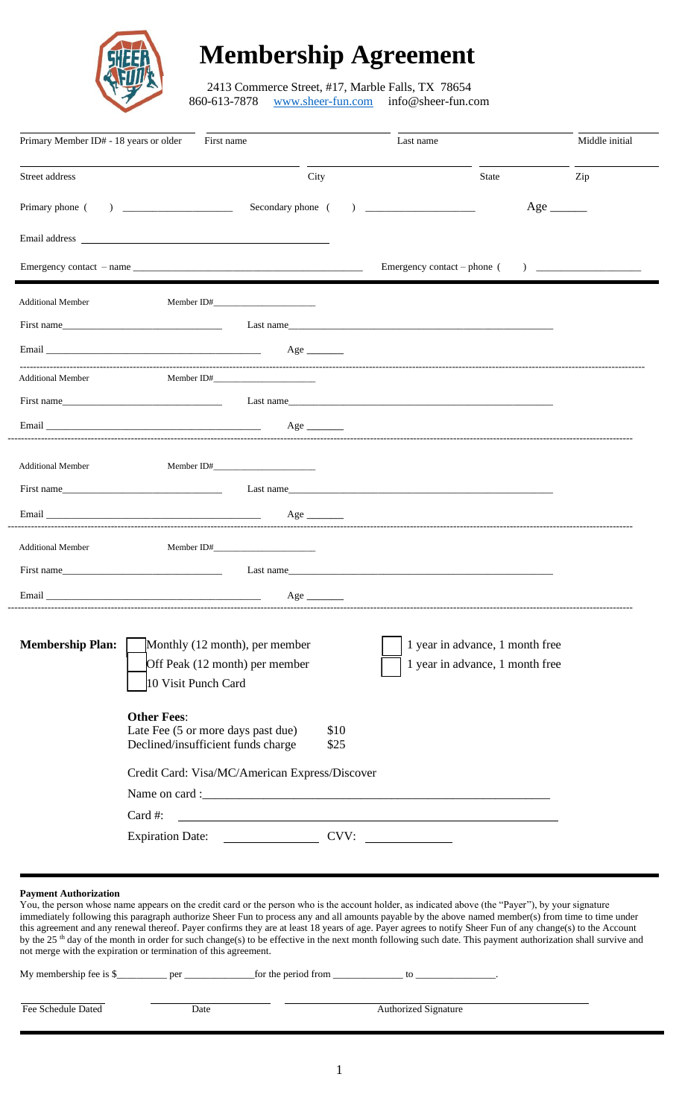

# **Membership Agreement**

2413 Commerce Street, #17, Marble Falls, TX 78654<br>860-613-7878 www.sheer-fun.com info@sheer-fun.com www.sheer-fun.com

| Primary Member ID# - 18 years or older First name |                                                                                                                                                                                                                                |              | Last name                                                                                                                                                                                                                      |                                                                    |     |
|---------------------------------------------------|--------------------------------------------------------------------------------------------------------------------------------------------------------------------------------------------------------------------------------|--------------|--------------------------------------------------------------------------------------------------------------------------------------------------------------------------------------------------------------------------------|--------------------------------------------------------------------|-----|
| Street address                                    |                                                                                                                                                                                                                                | City         |                                                                                                                                                                                                                                | State                                                              | Zip |
|                                                   | Secondary phone (                                                                                                                                                                                                              |              | $\begin{array}{c} \hline \end{array}$                                                                                                                                                                                          | $Age \_$                                                           |     |
|                                                   | Email address and the contract of the contract of the contract of the contract of the contract of the contract of the contract of the contract of the contract of the contract of the contract of the contract of the contract |              |                                                                                                                                                                                                                                |                                                                    |     |
|                                                   |                                                                                                                                                                                                                                |              |                                                                                                                                                                                                                                |                                                                    |     |
| <b>Additional Member</b>                          | Member ID#                                                                                                                                                                                                                     |              |                                                                                                                                                                                                                                |                                                                    |     |
|                                                   | First name                                                                                                                                                                                                                     |              | Last name                                                                                                                                                                                                                      |                                                                    |     |
|                                                   | Email and the contract of the contract of the contract of the contract of the contract of the contract of the contract of the contract of the contract of the contract of the contract of the contract of the contract of the  |              |                                                                                                                                                                                                                                |                                                                    |     |
| <b>Additional Member</b>                          | Member ID# $\_\_\_\_\_\_\_\_\_\_$                                                                                                                                                                                              |              |                                                                                                                                                                                                                                |                                                                    |     |
|                                                   | First name                                                                                                                                                                                                                     |              | Last name                                                                                                                                                                                                                      |                                                                    |     |
|                                                   |                                                                                                                                                                                                                                | Age $\qquad$ |                                                                                                                                                                                                                                |                                                                    |     |
| <b>Additional Member</b>                          | Member ID#                                                                                                                                                                                                                     |              |                                                                                                                                                                                                                                |                                                                    |     |
|                                                   | First name                                                                                                                                                                                                                     |              | Last name                                                                                                                                                                                                                      |                                                                    |     |
|                                                   | Email and the contract of the contract of the contract of the contract of the contract of the contract of the contract of the contract of the contract of the contract of the contract of the contract of the contract of the  |              |                                                                                                                                                                                                                                |                                                                    |     |
|                                                   |                                                                                                                                                                                                                                |              |                                                                                                                                                                                                                                |                                                                    |     |
| <b>Additional Member</b>                          | Member ID#                                                                                                                                                                                                                     |              |                                                                                                                                                                                                                                |                                                                    |     |
|                                                   | First name and the state of the state of the state of the state of the state of the state of the state of the state of the state of the state of the state of the state of the state of the state of the state of the state of |              | Last name and the set of the set of the set of the set of the set of the set of the set of the set of the set of the set of the set of the set of the set of the set of the set of the set of the set of the set of the set of |                                                                    |     |
|                                                   | Email and the contract of the contract of the contract of the contract of the contract of the contract of the contract of the contract of the contract of the contract of the contract of the contract of the contract of the  | Age $\qquad$ |                                                                                                                                                                                                                                |                                                                    |     |
| <b>Membership Plan:</b>                           | Monthly (12 month), per member<br>Off Peak (12 month) per member<br>10 Visit Punch Card                                                                                                                                        |              |                                                                                                                                                                                                                                | 1 year in advance, 1 month free<br>1 year in advance, 1 month free |     |
|                                                   | <b>Other Fees:</b><br>Late Fee (5 or more days past due)<br>Declined/insufficient funds charge                                                                                                                                 | \$10<br>\$25 |                                                                                                                                                                                                                                |                                                                    |     |
|                                                   | Credit Card: Visa/MC/American Express/Discover                                                                                                                                                                                 |              |                                                                                                                                                                                                                                |                                                                    |     |
|                                                   |                                                                                                                                                                                                                                |              |                                                                                                                                                                                                                                |                                                                    |     |
|                                                   | Card #:<br><u> 1989 - Johann Barn, mars ann an t-Amhainn an t-Amhainn an t-Amhainn an t-Amhainn an t-Amhainn an t-Amhainn a</u>                                                                                                |              |                                                                                                                                                                                                                                |                                                                    |     |
|                                                   |                                                                                                                                                                                                                                |              |                                                                                                                                                                                                                                |                                                                    |     |

#### **Payment Authorization**

You, the person whose name appears on the credit card or the person who is the account holder, as indicated above (the "Payer"), by your signature immediately following this paragraph authorize Sheer Fun to process any and all amounts payable by the above named member(s) from time to time under this agreement and any renewal thereof. Payer confirms they are at least 18 years of age. Payer agrees to notify Sheer Fun of any change(s) to the Account by the 25<sup>th</sup> day of the month in order for such change(s) to be effective in the next month following such date. This payment authorization shall survive and not merge with the expiration or termination of this agreement.

| My membership fee is \$ | per  | for the period from | tc                          |  |
|-------------------------|------|---------------------|-----------------------------|--|
| Fee Schedule Dated      | Date |                     | <b>Authorized Signature</b> |  |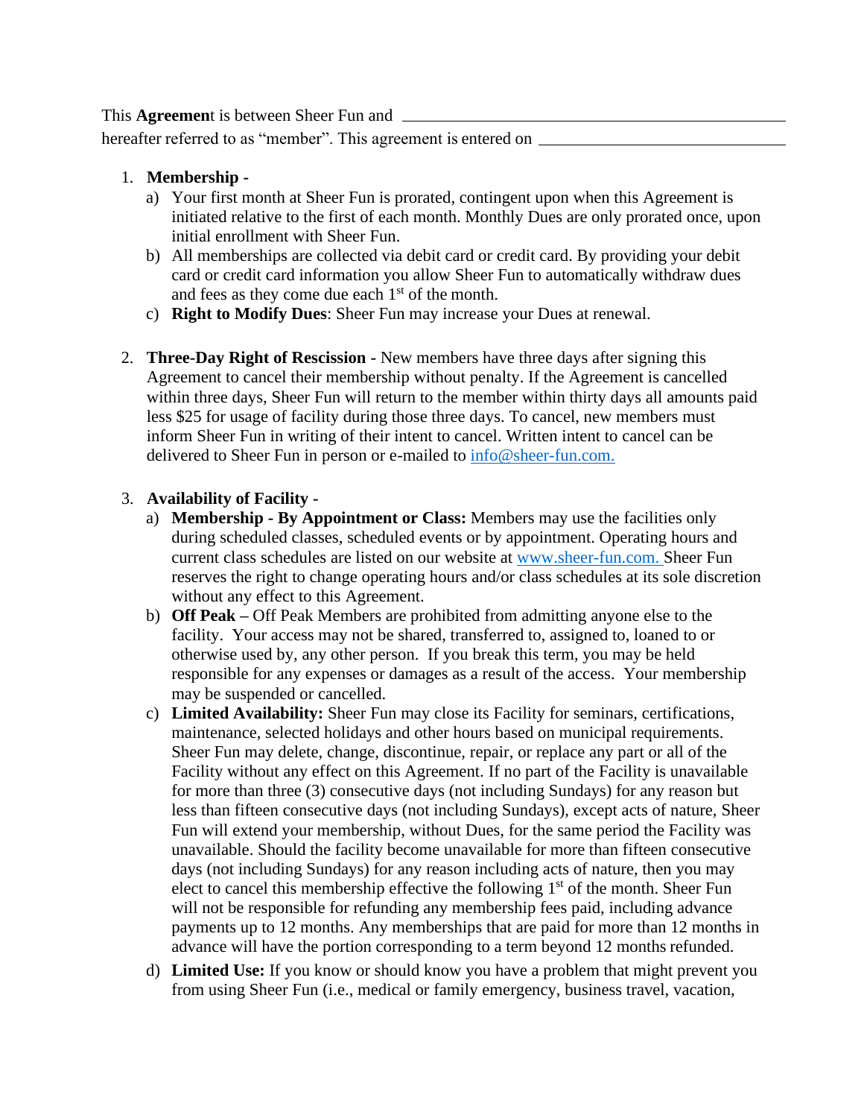This **Agreemen**t is between Sheer Fun and

hereafter referred to as "member". This agreement is entered on  $\equiv$ 

- 1. **Membership** 
	- a) Your first month at Sheer Fun is prorated, contingent upon when this Agreement is initiated relative to the first of each month. Monthly Dues are only prorated once, upon initial enrollment with Sheer Fun.
	- b) All memberships are collected via debit card or credit card. By providing your debit card or credit card information you allow Sheer Fun to automatically withdraw dues and fees as they come due each  $1<sup>st</sup>$  of the month.
	- c) **Right to Modify Dues**: Sheer Fun may increase your Dues at renewal.
- 2. **Three-Day Right of Rescission -** New members have three days after signing this Agreement to cancel their membership without penalty. If the Agreement is cancelled within three days, Sheer Fun will return to the member within thirty days all amounts paid less \$25 for usage of facility during those three days. To cancel, new members must inform Sheer Fun in writing of their intent to cancel. Written intent to cancel can be delivered to Sheer Fun in person or e-mailed to info@sheer-fun.com.

### 3. **Availability of Facility -**

- a) **Membership - By Appointment or Class:** Members may use the facilities only during scheduled classes, scheduled events or by appointment. Operating hours and current class schedules are listed on our website at www.sheer-fun.com. Sheer Fun reserves the right to change operating hours and/or class schedules at its sole discretion without any effect to this Agreement.
- b) **Off Peak –** Off Peak Members are prohibited from admitting anyone else to the facility. Your access may not be shared, transferred to, assigned to, loaned to or otherwise used by, any other person. If you break this term, you may be held responsible for any expenses or damages as a result of the access. Your membership may be suspended or cancelled.
- c) **Limited Availability:** Sheer Fun may close its Facility for seminars, certifications, maintenance, selected holidays and other hours based on municipal requirements. Sheer Fun may delete, change, discontinue, repair, or replace any part or all of the Facility without any effect on this Agreement. If no part of the Facility is unavailable for more than three (3) consecutive days (not including Sundays) for any reason but less than fifteen consecutive days (not including Sundays), except acts of nature, Sheer Fun will extend your membership, without Dues, for the same period the Facility was unavailable. Should the facility become unavailable for more than fifteen consecutive days (not including Sundays) for any reason including acts of nature, then you may elect to cancel this membership effective the following  $1<sup>st</sup>$  of the month. Sheer Fun will not be responsible for refunding any membership fees paid, including advance payments up to 12 months. Any memberships that are paid for more than 12 months in advance will have the portion corresponding to a term beyond 12 months refunded.
- d) **Limited Use:** If you know or should know you have a problem that might prevent you from using Sheer Fun (i.e., medical or family emergency, business travel, vacation,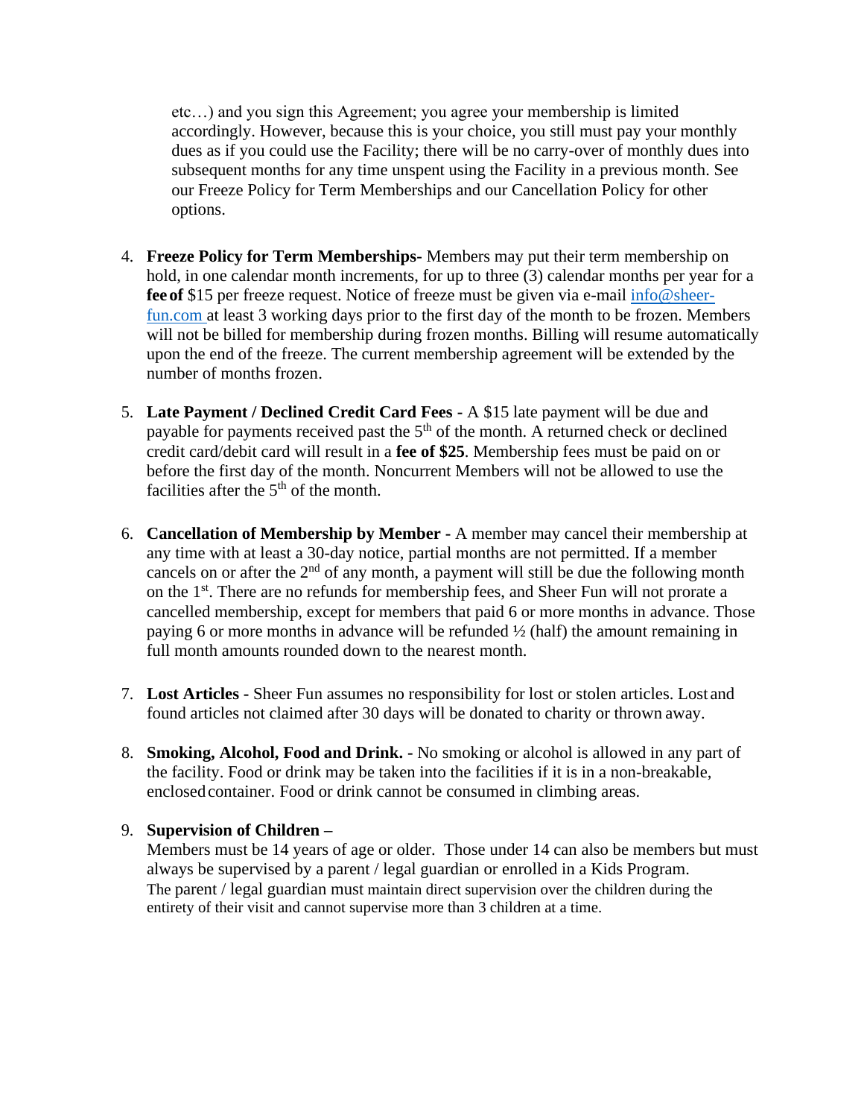etc…) and you sign this Agreement; you agree your membership is limited accordingly. However, because this is your choice, you still must pay your monthly dues as if you could use the Facility; there will be no carry-over of monthly dues into subsequent months for any time unspent using the Facility in a previous month. See our Freeze Policy for Term Memberships and our Cancellation Policy for other options.

- 4. **Freeze Policy for Term Memberships-** Members may put their term membership on hold, in one calendar month increments, for up to three (3) calendar months per year for a **fee of** \$15 per freeze request. Notice of freeze must be given via e-mail info@sheerfun.com at least 3 working days prior to the first day of the month to be frozen. Members will not be billed for membership during frozen months. Billing will resume automatically upon the end of the freeze. The current membership agreement will be extended by the number of months frozen.
- 5. **Late Payment / Declined Credit Card Fees -** A \$15 late payment will be due and payable for payments received past the  $5<sup>th</sup>$  of the month. A returned check or declined credit card/debit card will result in a **fee of \$25**. Membership fees must be paid on or before the first day of the month. Noncurrent Members will not be allowed to use the facilities after the  $5<sup>th</sup>$  of the month.
- 6. **Cancellation of Membership by Member -** A member may cancel their membership at any time with at least a 30-day notice, partial months are not permitted. If a member cancels on or after the  $2<sup>nd</sup>$  of any month, a payment will still be due the following month on the 1<sup>st</sup>. There are no refunds for membership fees, and Sheer Fun will not prorate a cancelled membership, except for members that paid 6 or more months in advance. Those paying 6 or more months in advance will be refunded  $\frac{1}{2}$  (half) the amount remaining in full month amounts rounded down to the nearest month.
- 7. **Lost Articles -** Sheer Fun assumes no responsibility for lost or stolen articles. Lost and found articles not claimed after 30 days will be donated to charity or thrown away.
- 8. **Smoking, Alcohol, Food and Drink. -** No smoking or alcohol is allowed in any part of the facility. Food or drink may be taken into the facilities if it is in a non-breakable, enclosed container. Food or drink cannot be consumed in climbing areas.

# 9. **Supervision of Children –**

Members must be 14 years of age or older. Those under 14 can also be members but must always be supervised by a parent / legal guardian or enrolled in a Kids Program. The parent / legal guardian must maintain direct supervision over the children during the entirety of their visit and cannot supervise more than 3 children at a time.